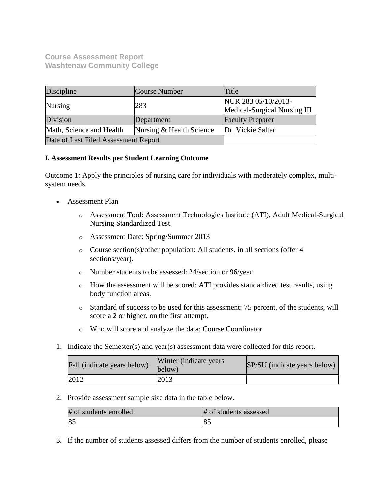## **Course Assessment Report Washtenaw Community College**

| Discipline                           | Course Number            | Title                                               |
|--------------------------------------|--------------------------|-----------------------------------------------------|
| Nursing                              | 283                      | NUR 283 05/10/2013-<br>Medical-Surgical Nursing III |
| Division                             | Department               | <b>Faculty Preparer</b>                             |
| Math, Science and Health             | Nursing & Health Science | Dr. Vickie Salter                                   |
| Date of Last Filed Assessment Report |                          |                                                     |

#### **I. Assessment Results per Student Learning Outcome**

Outcome 1: Apply the principles of nursing care for individuals with moderately complex, multisystem needs.

- Assessment Plan
	- o Assessment Tool: Assessment Technologies Institute (ATI), Adult Medical-Surgical Nursing Standardized Test.
	- o Assessment Date: Spring/Summer 2013
	- o Course section(s)/other population: All students, in all sections (offer 4 sections/year).
	- o Number students to be assessed: 24/section or 96/year
	- o How the assessment will be scored: ATI provides standardized test results, using body function areas.
	- o Standard of success to be used for this assessment: 75 percent, of the students, will score a 2 or higher, on the first attempt.
	- o Who will score and analyze the data: Course Coordinator
- 1. Indicate the Semester(s) and year(s) assessment data were collected for this report.

| Fall (indicate years below) | Winter (indicate years)<br>below) | SP/SU (indicate years below) |
|-----------------------------|-----------------------------------|------------------------------|
| 2012                        | 2013                              |                              |

2. Provide assessment sample size data in the table below.

| # of students enrolled | # of students assessed |
|------------------------|------------------------|
| 85                     |                        |

3. If the number of students assessed differs from the number of students enrolled, please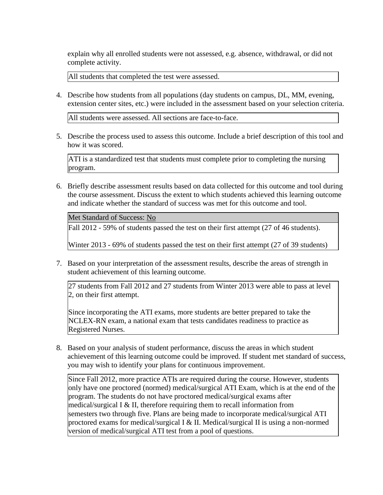explain why all enrolled students were not assessed, e.g. absence, withdrawal, or did not complete activity.

All students that completed the test were assessed.

4. Describe how students from all populations (day students on campus, DL, MM, evening, extension center sites, etc.) were included in the assessment based on your selection criteria.

All students were assessed. All sections are face-to-face.

5. Describe the process used to assess this outcome. Include a brief description of this tool and how it was scored.

ATI is a standardized test that students must complete prior to completing the nursing program.

6. Briefly describe assessment results based on data collected for this outcome and tool during the course assessment. Discuss the extent to which students achieved this learning outcome and indicate whether the standard of success was met for this outcome and tool.

Met Standard of Success: No

Fall 2012 - 59% of students passed the test on their first attempt (27 of 46 students).

Winter 2013 - 69% of students passed the test on their first attempt (27 of 39 students)

7. Based on your interpretation of the assessment results, describe the areas of strength in student achievement of this learning outcome.

27 students from Fall 2012 and 27 students from Winter 2013 were able to pass at level 2, on their first attempt.

Since incorporating the ATI exams, more students are better prepared to take the NCLEX-RN exam, a national exam that tests candidates readiness to practice as Registered Nurses.

8. Based on your analysis of student performance, discuss the areas in which student achievement of this learning outcome could be improved. If student met standard of success, you may wish to identify your plans for continuous improvement.

Since Fall 2012, more practice ATIs are required during the course. However, students only have one proctored (normed) medical/surgical ATI Exam, which is at the end of the program. The students do not have proctored medical/surgical exams after medical/surgical I & II, therefore requiring them to recall information from semesters two through five. Plans are being made to incorporate medical/surgical ATI proctored exams for medical/surgical I & II. Medical/surgical II is using a non-normed version of medical/surgical ATI test from a pool of questions.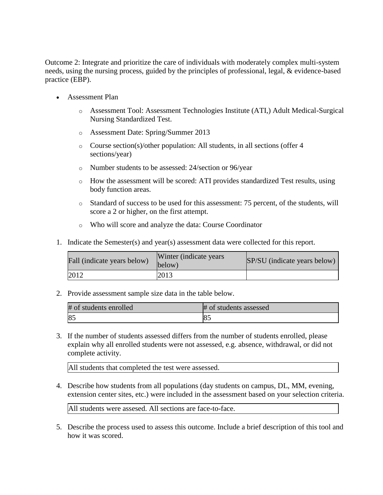Outcome 2: Integrate and prioritize the care of individuals with moderately complex multi-system needs, using the nursing process, guided by the principles of professional, legal, & evidence-based practice (EBP).

- Assessment Plan
	- o Assessment Tool: Assessment Technologies Institute (ATI,) Adult Medical-Surgical Nursing Standardized Test.
	- o Assessment Date: Spring/Summer 2013
	- o Course section(s)/other population: All students, in all sections (offer 4 sections/year)
	- o Number students to be assessed: 24/section or 96/year
	- o How the assessment will be scored: ATI provides standardized Test results, using body function areas.
	- o Standard of success to be used for this assessment: 75 percent, of the students, will score a 2 or higher, on the first attempt.
	- o Who will score and analyze the data: Course Coordinator
- 1. Indicate the Semester(s) and year(s) assessment data were collected for this report.

| Fall (indicate years below) | Winter (indicate years)<br>below) | SP/SU (indicate years below) |
|-----------------------------|-----------------------------------|------------------------------|
| 2012                        | 2013                              |                              |

2. Provide assessment sample size data in the table below.

| # of students enrolled | # of students assessed |
|------------------------|------------------------|
| 8 <sup>2</sup>         | $10-$                  |

3. If the number of students assessed differs from the number of students enrolled, please explain why all enrolled students were not assessed, e.g. absence, withdrawal, or did not complete activity.

All students that completed the test were assessed.

4. Describe how students from all populations (day students on campus, DL, MM, evening, extension center sites, etc.) were included in the assessment based on your selection criteria.

All students were assesed. All sections are face-to-face.

5. Describe the process used to assess this outcome. Include a brief description of this tool and how it was scored.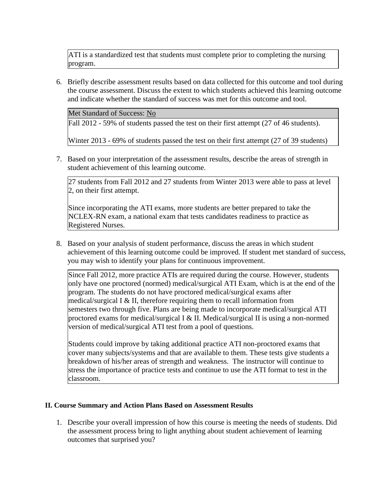ATI is a standardized test that students must complete prior to completing the nursing program.

6. Briefly describe assessment results based on data collected for this outcome and tool during the course assessment. Discuss the extent to which students achieved this learning outcome and indicate whether the standard of success was met for this outcome and tool.

Met Standard of Success: No

Fall 2012 - 59% of students passed the test on their first attempt (27 of 46 students).

Winter 2013 - 69% of students passed the test on their first attempt (27 of 39 students)

7. Based on your interpretation of the assessment results, describe the areas of strength in student achievement of this learning outcome.

27 students from Fall 2012 and 27 students from Winter 2013 were able to pass at level 2, on their first attempt.

Since incorporating the ATI exams, more students are better prepared to take the NCLEX-RN exam, a national exam that tests candidates readiness to practice as Registered Nurses.

8. Based on your analysis of student performance, discuss the areas in which student achievement of this learning outcome could be improved. If student met standard of success, you may wish to identify your plans for continuous improvement.

Since Fall 2012, more practice ATIs are required during the course. However, students only have one proctored (normed) medical/surgical ATI Exam, which is at the end of the program. The students do not have proctored medical/surgical exams after medical/surgical I & II, therefore requiring them to recall information from semesters two through five. Plans are being made to incorporate medical/surgical ATI proctored exams for medical/surgical I & II. Medical/surgical II is using a non-normed version of medical/surgical ATI test from a pool of questions.

Students could improve by taking additional practice ATI non-proctored exams that cover many subjects/systems and that are available to them. These tests give students a breakdown of his/her areas of strength and weakness. The instructor will continue to stress the importance of practice tests and continue to use the ATI format to test in the classroom.

#### **II. Course Summary and Action Plans Based on Assessment Results**

1. Describe your overall impression of how this course is meeting the needs of students. Did the assessment process bring to light anything about student achievement of learning outcomes that surprised you?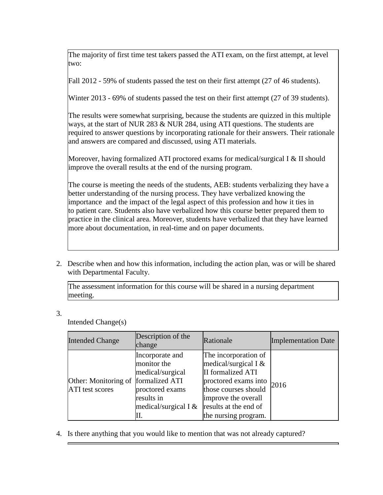The majority of first time test takers passed the ATI exam, on the first attempt, at level two:

Fall 2012 - 59% of students passed the test on their first attempt (27 of 46 students).

Winter 2013 - 69% of students passed the test on their first attempt (27 of 39 students).

The results were somewhat surprising, because the students are quizzed in this multiple ways, at the start of NUR 283 & NUR 284, using ATI questions. The students are required to answer questions by incorporating rationale for their answers. Their rationale and answers are compared and discussed, using ATI materials.

Moreover, having formalized ATI proctored exams for medical/surgical I  $\&$  II should improve the overall results at the end of the nursing program.

The course is meeting the needs of the students, AEB: students verbalizing they have a better understanding of the nursing process. They have verbalized knowing the importance and the impact of the legal aspect of this profession and how it ties in to patient care. Students also have verbalized how this course better prepared them to practice in the clinical area. Moreover, students have verbalized that they have learned more about documentation, in real-time and on paper documents.

2. Describe when and how this information, including the action plan, was or will be shared with Departmental Faculty.

The assessment information for this course will be shared in a nursing department meeting.

## 3.

Intended Change(s)

| <b>Intended Change</b>                                        | Description of the<br>change                                                                                        | Rationale                                                                                                                                                                                   | <b>Implementation Date</b> |
|---------------------------------------------------------------|---------------------------------------------------------------------------------------------------------------------|---------------------------------------------------------------------------------------------------------------------------------------------------------------------------------------------|----------------------------|
| Other: Monitoring of formalized ATI<br><b>ATI</b> test scores | Incorporate and<br>monitor the<br>medical/surgical<br>proctored exams<br>results in<br>medical/surgical I $&$<br>П. | The incorporation of<br>medical/surgical I $&$<br>II formalized ATI<br>proctored exams into<br>those courses should<br>improve the overall<br>results at the end of<br>the nursing program. | 2016                       |

4. Is there anything that you would like to mention that was not already captured?